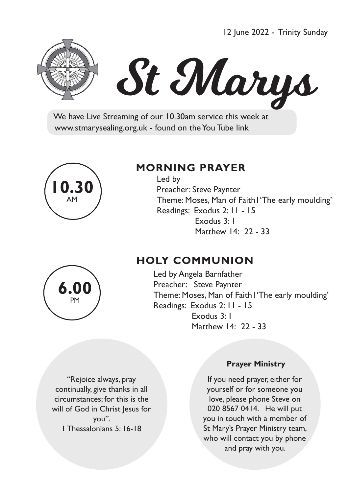12 June 2022 - Trinity Sunday



# St Marys

 We have Live Streaming of our 10.30am service this week at www.stmarysealing.org.uk - found on the You Tube link



## **MORNING PRAYER**

 Led by Preacher: Steve Paynter Theme: Moses, Man of Faith1'The early moulding' Readings: Exodus 2: 11 - 15 Exodus 3: 1 Matthew 14:22 - 33

# **HOLY COMMUNION**

Led by Angela Barnfather Preacher: Steve Paynter Theme: Moses, Man of Faith1'The early moulding' Readings: Exodus 2: 11 - 15 Exodus 3: 1 Matthew 14:22 - 33

"Rejoice always, pray continually, give thanks in all circumstances; for this is the will of God in Christ Jesus for you". 1 Thessalonians 5: 16-18

#### **Prayer Ministry**

If you need prayer, either for yourself or for someone you love, please phone Steve on 020 8567 0414. He will put you in touch with a member of St Mary's Prayer Ministry team, who will contact you by phone and pray with you.

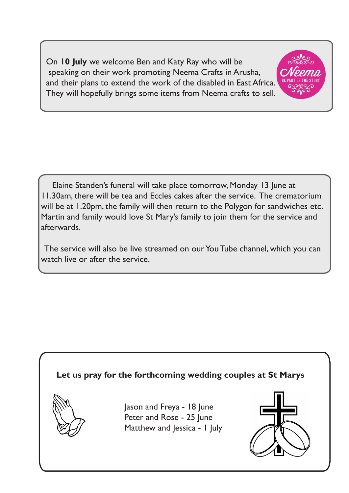On **10 July** we welcome Ben and Katy Ray who will be speaking on their work promoting Neema Crafts in Arusha, and their plans to extend the work of the disabled in East Africa. They will hopefully brings some items from Neema crafts to sell.



 Elaine Standen's funeral will take place tomorrow, Monday 13 June at 11.30am, there will be tea and Eccles cakes after the service. The crematorium will be at 1.20pm, the family will then return to the Polygon for sandwiches etc. Martin and family would love St Mary's family to join them for the service and afterwards.

The service will also be live streamed on our You Tube channel, which you can watch live or after the service.

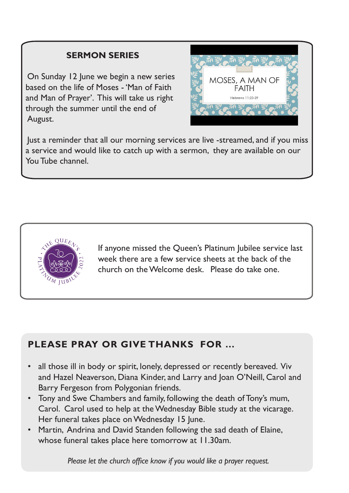## **SERMON SERIES**

On Sunday 12 June we begin a new series based on the life of Moses - 'Man of Faith and Man of Prayer'. This will take us right through the summer until the end of August.



Just a reminder that all our morning services are live -streamed, and if you miss a service and would like to catch up with a sermon, they are available on our You Tube channel.



Ī

If anyone missed the Queen's Platinum Jubilee service last week there are a few service sheets at the back of the church on the Welcome desk. Please do take one.

## **PLEASE PRAY OR GIVE THANKS FOR …**

- all those ill in body or spirit, lonely, depressed or recently bereaved. Viv and Hazel Neaverson, Diana Kinder, and Larry and Joan O'Neill, Carol and Barry Fergeson from Polygonian friends.
- Tony and Swe Chambers and family, following the death of Tony's mum, Carol. Carol used to help at the Wednesday Bible study at the vicarage. Her funeral takes place on Wednesday 15 June.
- Martin, Andrina and David Standen following the sad death of Elaine, whose funeral takes place here tomorrow at 11.30am.

 *Please let the church office know if you would like a prayer request.*